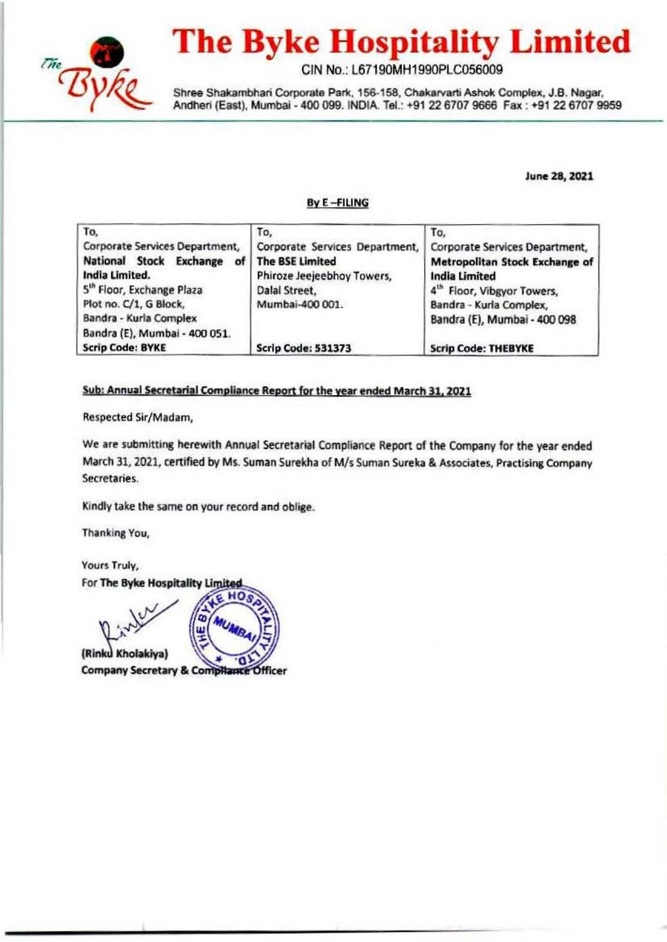

# **The Byke Hospitality Limited**

GIN No.: L67190MH1990PLC056009

Shree Shakambhari Corporate Park, 156-158, Chakarvarti Ashok Complex, J.B. Nagar, Andheri (East), Mumbai - 400 099. INDIA. Tel.: +91 22 6707 9666 Fax : +91 22 6707 9959

June 28, 2021

#### ByE-FILING

| To,                                   | To,                                                     | To,                            |  |
|---------------------------------------|---------------------------------------------------------|--------------------------------|--|
| Corporate Services Department,        | Corporate Services Department,                          | Corporate Services Department, |  |
| National Stock Exchange               | <b>The BSE Limited</b>                                  | Metropolitan Stock Exchange of |  |
| India Limited.                        | Phiroze Jeejeebhoy Towers,<br><b>India Limited</b>      |                                |  |
| 5 <sup>th</sup> Floor, Exchange Plaza | Dalal Street.<br>4 <sup>th</sup> Floor, Vibgyor Towers, |                                |  |
| Plot no. C/1, G Block,                | Mumbai-400 001.                                         | Bandra - Kurla Complex,        |  |
| Bandra - Kurla Complex                |                                                         | Bandra (E), Mumbai - 400 098   |  |
| Bandra (E), Mumbai - 400 051.         |                                                         |                                |  |
| <b>Scrip Code: BYKE</b>               | <b>Scrip Code: 531373</b>                               | <b>Scrip Code: THEBYKE</b>     |  |

## Sub: Annual Secretarial Compliance Report for the year ended March 31, 2021

Respected Sir/Madam,

We are submitting herewith Annual Secretarial Compliance Report of the Company for the year ended March 31, 2021, certified by Ms. Suman Surekha of M/s Suman Sureka & Associates, Practising Company Secretaries.

Kindly take the same on your record and oblige.

но

Thanking You,

Yours Truly, For The Byke Hospitality Limited



(Rinku Kholakiya) **Company Secretary & CompHance Officer** 

m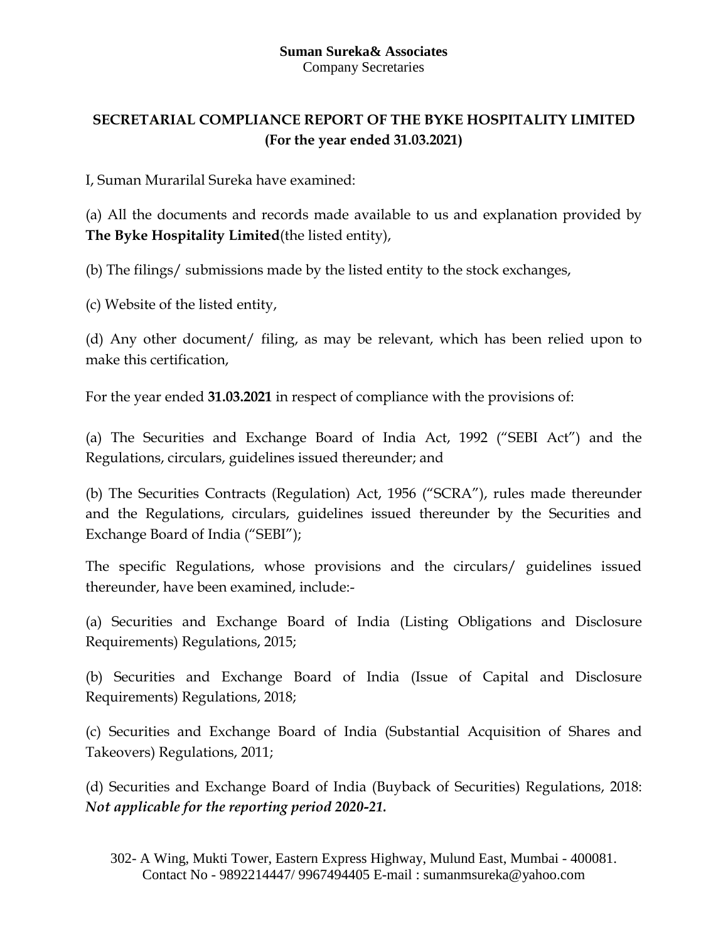## **Suman Sureka& Associates** Company Secretaries

## **SECRETARIAL COMPLIANCE REPORT OF THE BYKE HOSPITALITY LIMITED (For the year ended 31.03.2021)**

I, Suman Murarilal Sureka have examined:

(a) All the documents and records made available to us and explanation provided by **The Byke Hospitality Limited**(the listed entity),

(b) The filings/ submissions made by the listed entity to the stock exchanges,

(c) Website of the listed entity,

(d) Any other document/ filing, as may be relevant, which has been relied upon to make this certification,

For the year ended **31.03.2021** in respect of compliance with the provisions of:

(a) The Securities and Exchange Board of India Act, 1992 ("SEBI Act") and the Regulations, circulars, guidelines issued thereunder; and

(b) The Securities Contracts (Regulation) Act, 1956 ("SCRA"), rules made thereunder and the Regulations, circulars, guidelines issued thereunder by the Securities and Exchange Board of India ("SEBI");

The specific Regulations, whose provisions and the circulars/ guidelines issued thereunder, have been examined, include:-

(a) Securities and Exchange Board of India (Listing Obligations and Disclosure Requirements) Regulations, 2015;

(b) Securities and Exchange Board of India (Issue of Capital and Disclosure Requirements) Regulations, 2018;

(c) Securities and Exchange Board of India (Substantial Acquisition of Shares and Takeovers) Regulations, 2011;

(d) Securities and Exchange Board of India (Buyback of Securities) Regulations, 2018: *Not applicable for the reporting period 2020-21.*

<sup>302-</sup> A Wing, Mukti Tower, Eastern Express Highway, Mulund East, Mumbai - 400081. Contact No - 9892214447/ 9967494405 E-mail : sumanmsureka@yahoo.com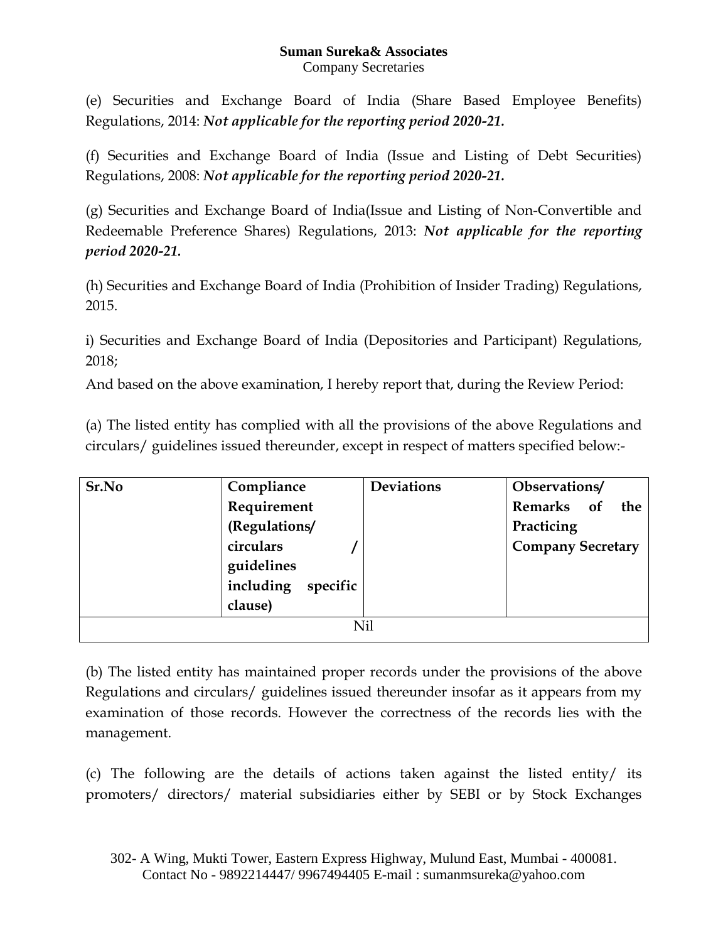## **Suman Sureka& Associates** Company Secretaries

(e) Securities and Exchange Board of India (Share Based Employee Benefits) Regulations, 2014: *Not applicable for the reporting period 2020-21.*

(f) Securities and Exchange Board of India (Issue and Listing of Debt Securities) Regulations, 2008: *Not applicable for the reporting period 2020-21.*

(g) Securities and Exchange Board of India(Issue and Listing of Non-Convertible and Redeemable Preference Shares) Regulations, 2013: *Not applicable for the reporting period 2020-21.*

(h) Securities and Exchange Board of India (Prohibition of Insider Trading) Regulations, 2015.

i) Securities and Exchange Board of India (Depositories and Participant) Regulations, 2018;

And based on the above examination, I hereby report that, during the Review Period:

(a) The listed entity has complied with all the provisions of the above Regulations and circulars/ guidelines issued thereunder, except in respect of matters specified below:-

| Compliance            | <b>Deviations</b> | Observations/            |  |  |  |  |
|-----------------------|-------------------|--------------------------|--|--|--|--|
| Requirement           |                   | Remarks of<br>the        |  |  |  |  |
| (Regulations/         |                   | Practicing               |  |  |  |  |
| circulars             |                   | <b>Company Secretary</b> |  |  |  |  |
| guidelines            |                   |                          |  |  |  |  |
| including<br>specific |                   |                          |  |  |  |  |
| clause)               |                   |                          |  |  |  |  |
| Nil                   |                   |                          |  |  |  |  |
|                       |                   |                          |  |  |  |  |

(b) The listed entity has maintained proper records under the provisions of the above Regulations and circulars/ guidelines issued thereunder insofar as it appears from my examination of those records. However the correctness of the records lies with the management.

(c) The following are the details of actions taken against the listed entity/ its promoters/ directors/ material subsidiaries either by SEBI or by Stock Exchanges